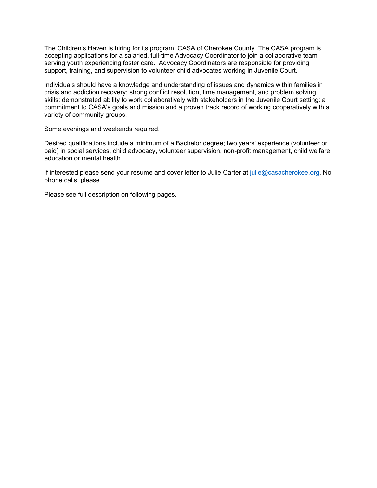The Children's Haven is hiring for its program, CASA of Cherokee County. The CASA program is accepting applications for a salaried, full-time Advocacy Coordinator to join a collaborative team serving youth experiencing foster care. Advocacy Coordinators are responsible for providing support, training, and supervision to volunteer child advocates working in Juvenile Court.

Individuals should have a knowledge and understanding of issues and dynamics within families in crisis and addiction recovery; strong conflict resolution, time management, and problem solving skills; demonstrated ability to work collaboratively with stakeholders in the Juvenile Court setting; a commitment to CASA's goals and mission and a proven track record of working cooperatively with a variety of community groups.

Some evenings and weekends required.

Desired qualifications include a minimum of a Bachelor degree; two years' experience (volunteer or paid) in social services, child advocacy, volunteer supervision, non-profit management, child welfare, education or mental health.

If interested please send your resume and cover letter to Julie Carter at [julie@casacherokee.org.](mailto:julie@casacherokee.org) No phone calls, please.

Please see full description on following pages.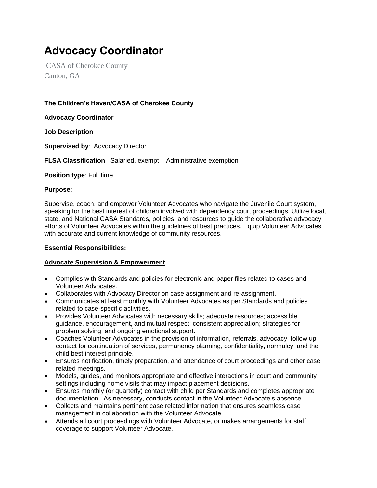# **Advocacy Coordinator**

CASA of Cherokee County Canton, GA

# **The Children's Haven/CASA of Cherokee County**

**Advocacy Coordinator**

**Job Description**

**Supervised by**: Advocacy Director

**FLSA Classification**: Salaried, exempt – Administrative exemption

**Position type**: Full time

#### **Purpose:**

Supervise, coach, and empower Volunteer Advocates who navigate the Juvenile Court system, speaking for the best interest of children involved with dependency court proceedings. Utilize local, state, and National CASA Standards, policies, and resources to guide the collaborative advocacy efforts of Volunteer Advocates within the guidelines of best practices. Equip Volunteer Advocates with accurate and current knowledge of community resources.

## **Essential Responsibilities:**

## **Advocate Supervision & Empowerment**

- Complies with Standards and policies for electronic and paper files related to cases and Volunteer Advocates.
- Collaborates with Advocacy Director on case assignment and re-assignment.
- Communicates at least monthly with Volunteer Advocates as per Standards and policies related to case-specific activities.
- Provides Volunteer Advocates with necessary skills; adequate resources; accessible guidance, encouragement, and mutual respect; consistent appreciation; strategies for problem solving; and ongoing emotional support.
- Coaches Volunteer Advocates in the provision of information, referrals, advocacy, follow up contact for continuation of services, permanency planning, confidentiality, normalcy, and the child best interest principle.
- Ensures notification, timely preparation, and attendance of court proceedings and other case related meetings.
- Models, guides, and monitors appropriate and effective interactions in court and community settings including home visits that may impact placement decisions.
- Ensures monthly (or quarterly) contact with child per Standards and completes appropriate documentation. As necessary, conducts contact in the Volunteer Advocate's absence.
- Collects and maintains pertinent case related information that ensures seamless case management in collaboration with the Volunteer Advocate.
- Attends all court proceedings with Volunteer Advocate, or makes arrangements for staff coverage to support Volunteer Advocate.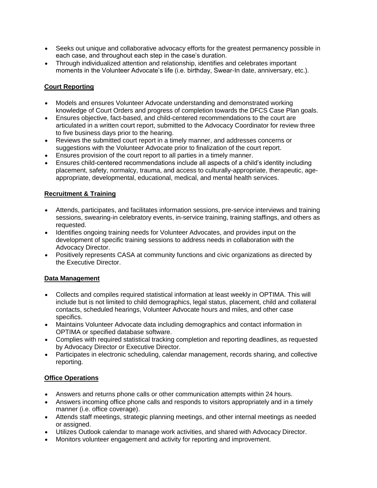- Seeks out unique and collaborative advocacy efforts for the greatest permanency possible in each case, and throughout each step in the case's duration.
- Through individualized attention and relationship, identifies and celebrates important moments in the Volunteer Advocate's life (i.e. birthday, Swear-In date, anniversary, etc.).

## **Court Reporting**

- Models and ensures Volunteer Advocate understanding and demonstrated working knowledge of Court Orders and progress of completion towards the DFCS Case Plan goals.
- Ensures objective, fact-based, and child-centered recommendations to the court are articulated in a written court report, submitted to the Advocacy Coordinator for review three to five business days prior to the hearing.
- Reviews the submitted court report in a timely manner, and addresses concerns or suggestions with the Volunteer Advocate prior to finalization of the court report.
- Ensures provision of the court report to all parties in a timely manner.
- Ensures child-centered recommendations include all aspects of a child's identity including placement, safety, normalcy, trauma, and access to culturally-appropriate, therapeutic, ageappropriate, developmental, educational, medical, and mental health services.

#### **Recruitment & Training**

- Attends, participates, and facilitates information sessions, pre-service interviews and training sessions, swearing-in celebratory events, in-service training, training staffings, and others as requested.
- Identifies ongoing training needs for Volunteer Advocates, and provides input on the development of specific training sessions to address needs in collaboration with the Advocacy Director.
- Positively represents CASA at community functions and civic organizations as directed by the Executive Director.

#### **Data Management**

- Collects and compiles required statistical information at least weekly in OPTIMA. This will include but is not limited to child demographics, legal status, placement, child and collateral contacts, scheduled hearings, Volunteer Advocate hours and miles, and other case specifics.
- Maintains Volunteer Advocate data including demographics and contact information in OPTIMA or specified database software.
- Complies with required statistical tracking completion and reporting deadlines, as requested by Advocacy Director or Executive Director.
- Participates in electronic scheduling, calendar management, records sharing, and collective reporting.

## **Office Operations**

- Answers and returns phone calls or other communication attempts within 24 hours.
- Answers incoming office phone calls and responds to visitors appropriately and in a timely manner (i.e. office coverage).
- Attends staff meetings, strategic planning meetings, and other internal meetings as needed or assigned.
- Utilizes Outlook calendar to manage work activities, and shared with Advocacy Director.
- Monitors volunteer engagement and activity for reporting and improvement.